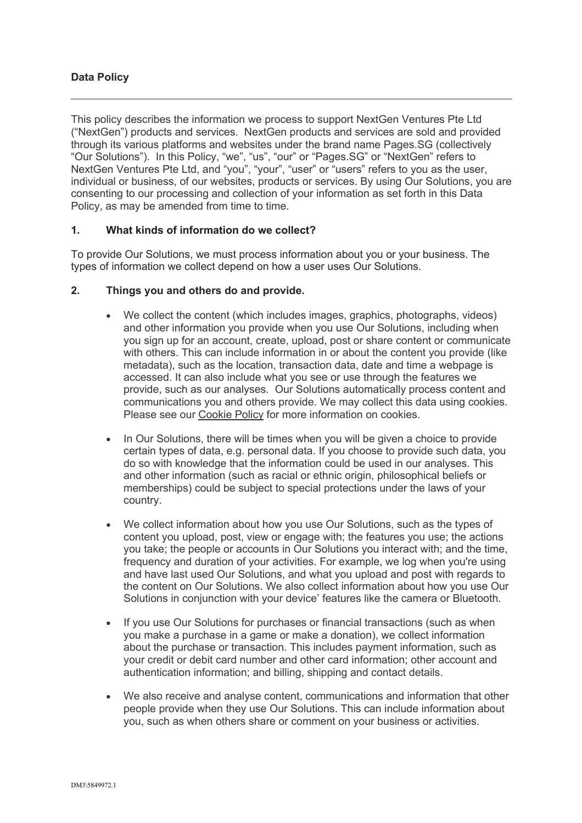# **Data Policy**

This policy describes the information we process to support NextGen Ventures Pte Ltd ("NextGen") products and services. NextGen products and services are sold and provided through its various platforms and websites under the brand name Pages.SG (collectively "Our Solutions"). In this Policy, "we", "us", "our" or "Pages.SG" or "NextGen" refers to NextGen Ventures Pte Ltd, and "you", "your", "user" or "users" refers to you as the user, individual or business, of our websites, products or services. By using Our Solutions, you are consenting to our processing and collection of your information as set forth in this Data Policy, as may be amended from time to time.

# **1. What kinds of information do we collect?**

To provide Our Solutions, we must process information about you or your business. The types of information we collect depend on how a user uses Our Solutions.

### **2. Things you and others do and provide.**

- We collect the content (which includes images, graphics, photographs, videos) and other information you provide when you use Our Solutions, including when you sign up for an account, create, upload, post or share content or communicate with others. This can include information in or about the content you provide (like metadata), such as the location, transaction data, date and time a webpage is accessed. It can also include what you see or use through the features we provide, such as our analyses. Our Solutions automatically process content and communications you and others provide. We may collect this data using cookies. Please see our Cookie Policy for more information on cookies.
- In Our Solutions, there will be times when you will be given a choice to provide certain types of data, e.g. personal data. If you choose to provide such data, you do so with knowledge that the information could be used in our analyses. This and other information (such as racial or ethnic origin, philosophical beliefs or memberships) could be subject to special protections under the laws of your country.
- We collect information about how you use Our Solutions, such as the types of content you upload, post, view or engage with; the features you use; the actions you take; the people or accounts in Our Solutions you interact with; and the time, frequency and duration of your activities. For example, we log when you're using and have last used Our Solutions, and what you upload and post with regards to the content on Our Solutions. We also collect information about how you use Our Solutions in conjunction with your device' features like the camera or Bluetooth.
- If you use Our Solutions for purchases or financial transactions (such as when you make a purchase in a game or make a donation), we collect information about the purchase or transaction. This includes payment information, such as your credit or debit card number and other card information; other account and authentication information; and billing, shipping and contact details.
- We also receive and analyse content, communications and information that other people provide when they use Our Solutions. This can include information about you, such as when others share or comment on your business or activities.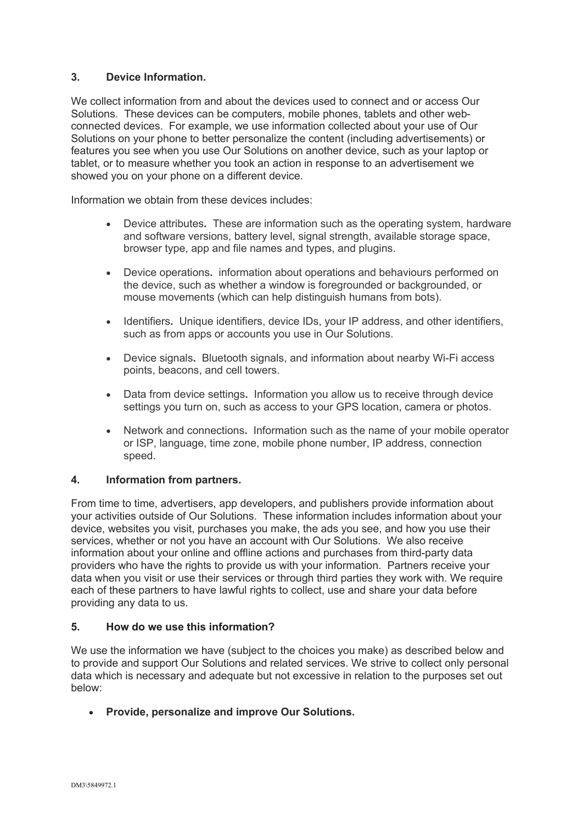# **3. Device Information.**

We collect information from and about the devices used to connect and or access Our Solutions. These devices can be computers, mobile phones, tablets and other webconnected devices. For example, we use information collected about your use of Our Solutions on your phone to better personalize the content (including advertisements) or features you see when you use Our Solutions on another device, such as your laptop or tablet, or to measure whether you took an action in response to an advertisement we showed you on your phone on a different device.

Information we obtain from these devices includes:

- Device attributes**.** These are information such as the operating system, hardware and software versions, battery level, signal strength, available storage space, browser type, app and file names and types, and plugins.
- Device operations**.** information about operations and behaviours performed on the device, such as whether a window is foregrounded or backgrounded, or mouse movements (which can help distinguish humans from bots).
- Identifiers**.** Unique identifiers, device IDs, your IP address, and other identifiers, such as from apps or accounts you use in Our Solutions.
- Device signals**.** Bluetooth signals, and information about nearby Wi-Fi access points, beacons, and cell towers.
- Data from device settings**.** Information you allow us to receive through device settings you turn on, such as access to your GPS location, camera or photos.
- Network and connections**.** Information such as the name of your mobile operator or ISP, language, time zone, mobile phone number, IP address, connection speed.

# **4. Information from partners.**

From time to time, advertisers, app developers, and publishers provide information about your activities outside of Our Solutions. These information includes information about your device, websites you visit, purchases you make, the ads you see, and how you use their services, whether or not you have an account with Our Solutions. We also receive information about your online and offline actions and purchases from third-party data providers who have the rights to provide us with your information. Partners receive your data when you visit or use their services or through third parties they work with. We require each of these partners to have lawful rights to collect, use and share your data before providing any data to us.

# **5. How do we use this information?**

We use the information we have (subject to the choices you make) as described below and to provide and support Our Solutions and related services. We strive to collect only personal data which is necessary and adequate but not excessive in relation to the purposes set out below:

• **Provide, personalize and improve Our Solutions.**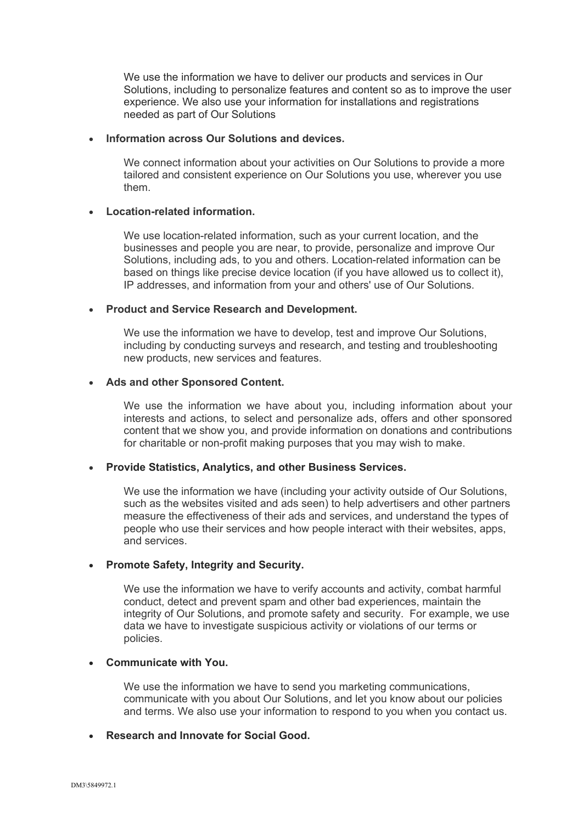We use the information we have to deliver our products and services in Our Solutions, including to personalize features and content so as to improve the user experience. We also use your information for installations and registrations needed as part of Our Solutions

### • **Information across Our Solutions and devices.**

We connect information about your activities on Our Solutions to provide a more tailored and consistent experience on Our Solutions you use, wherever you use them.

#### • **Location-related information.**

We use location-related information, such as your current location, and the businesses and people you are near, to provide, personalize and improve Our Solutions, including ads, to you and others. Location-related information can be based on things like precise device location (if you have allowed us to collect it), IP addresses, and information from your and others' use of Our Solutions.

#### • **Product and Service Research and Development.**

We use the information we have to develop, test and improve Our Solutions, including by conducting surveys and research, and testing and troubleshooting new products, new services and features.

### • **Ads and other Sponsored Content.**

We use the information we have about you, including information about your interests and actions, to select and personalize ads, offers and other sponsored content that we show you, and provide information on donations and contributions for charitable or non-profit making purposes that you may wish to make.

#### • **Provide Statistics, Analytics, and other Business Services.**

We use the information we have (including your activity outside of Our Solutions, such as the websites visited and ads seen) to help advertisers and other partners measure the effectiveness of their ads and services, and understand the types of people who use their services and how people interact with their websites, apps, and services.

# • **Promote Safety, Integrity and Security.**

We use the information we have to verify accounts and activity, combat harmful conduct, detect and prevent spam and other bad experiences, maintain the integrity of Our Solutions, and promote safety and security. For example, we use data we have to investigate suspicious activity or violations of our terms or policies.

### • **Communicate with You.**

We use the information we have to send you marketing communications, communicate with you about Our Solutions, and let you know about our policies and terms. We also use your information to respond to you when you contact us.

#### • **Research and Innovate for Social Good.**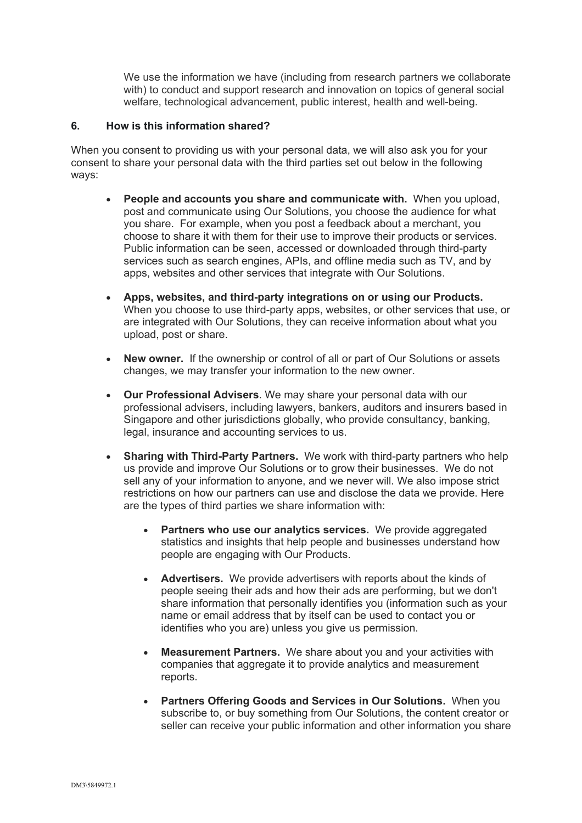We use the information we have (including from research partners we collaborate with) to conduct and support research and innovation on topics of general social welfare, technological advancement, public interest, health and well-being.

### **6. How is this information shared?**

When you consent to providing us with your personal data, we will also ask you for your consent to share your personal data with the third parties set out below in the following ways:

- **People and accounts you share and communicate with.** When you upload, post and communicate using Our Solutions, you choose the audience for what you share. For example, when you post a feedback about a merchant, you choose to share it with them for their use to improve their products or services. Public information can be seen, accessed or downloaded through third-party services such as search engines, APIs, and offline media such as TV, and by apps, websites and other services that integrate with Our Solutions.
- **Apps, websites, and third-party integrations on or using our Products.**  When you choose to use third-party apps, websites, or other services that use, or are integrated with Our Solutions, they can receive information about what you upload, post or share.
- **New owner.** If the ownership or control of all or part of Our Solutions or assets changes, we may transfer your information to the new owner.
- **Our Professional Advisers**. We may share your personal data with our professional advisers, including lawyers, bankers, auditors and insurers based in Singapore and other jurisdictions globally, who provide consultancy, banking, legal, insurance and accounting services to us.
- **Sharing with Third-Party Partners.** We work with third-party partners who help us provide and improve Our Solutions or to grow their businesses. We do not sell any of your information to anyone, and we never will. We also impose strict restrictions on how our partners can use and disclose the data we provide. Here are the types of third parties we share information with:
	- **Partners who use our analytics services.** We provide aggregated statistics and insights that help people and businesses understand how people are engaging with Our Products.
	- **Advertisers.** We provide advertisers with reports about the kinds of people seeing their ads and how their ads are performing, but we don't share information that personally identifies you (information such as your name or email address that by itself can be used to contact you or identifies who you are) unless you give us permission.
	- **Measurement Partners.** We share about you and your activities with companies that aggregate it to provide analytics and measurement reports.
	- **Partners Offering Goods and Services in Our Solutions.** When you subscribe to, or buy something from Our Solutions, the content creator or seller can receive your public information and other information you share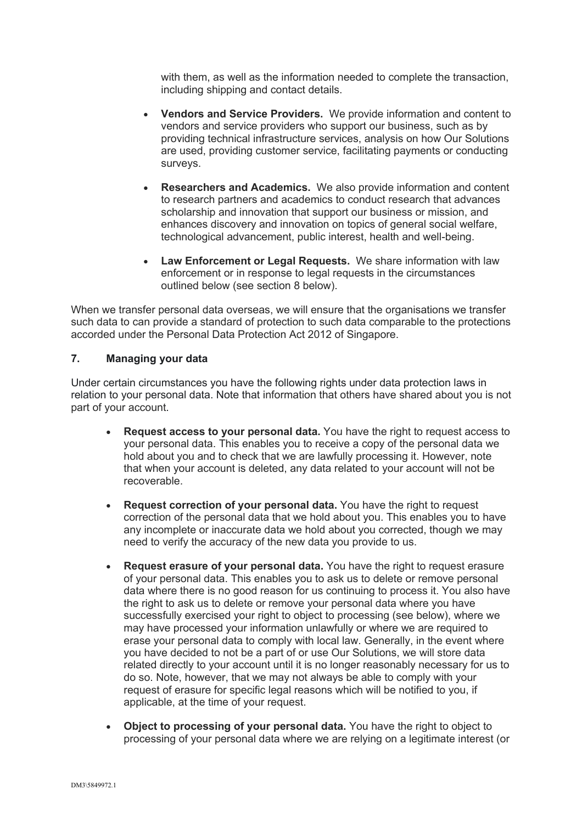with them, as well as the information needed to complete the transaction, including shipping and contact details.

- **Vendors and Service Providers.** We provide information and content to vendors and service providers who support our business, such as by providing technical infrastructure services, analysis on how Our Solutions are used, providing customer service, facilitating payments or conducting surveys.
- **Researchers and Academics.** We also provide information and content to research partners and academics to conduct research that advances scholarship and innovation that support our business or mission, and enhances discovery and innovation on topics of general social welfare, technological advancement, public interest, health and well-being.
- **Law Enforcement or Legal Requests.** We share information with law enforcement or in response to legal requests in the circumstances outlined below (see section 8 below).

When we transfer personal data overseas, we will ensure that the organisations we transfer such data to can provide a standard of protection to such data comparable to the protections accorded under the Personal Data Protection Act 2012 of Singapore.

## **7. Managing your data**

Under certain circumstances you have the following rights under data protection laws in relation to your personal data. Note that information that others have shared about you is not part of your account.

- **Request access to your personal data.** You have the right to request access to your personal data. This enables you to receive a copy of the personal data we hold about you and to check that we are lawfully processing it. However, note that when your account is deleted, any data related to your account will not be recoverable.
- **Request correction of your personal data.** You have the right to request correction of the personal data that we hold about you. This enables you to have any incomplete or inaccurate data we hold about you corrected, though we may need to verify the accuracy of the new data you provide to us.
- **Request erasure of your personal data.** You have the right to request erasure of your personal data. This enables you to ask us to delete or remove personal data where there is no good reason for us continuing to process it. You also have the right to ask us to delete or remove your personal data where you have successfully exercised your right to object to processing (see below), where we may have processed your information unlawfully or where we are required to erase your personal data to comply with local law. Generally, in the event where you have decided to not be a part of or use Our Solutions, we will store data related directly to your account until it is no longer reasonably necessary for us to do so. Note, however, that we may not always be able to comply with your request of erasure for specific legal reasons which will be notified to you, if applicable, at the time of your request.
- **Object to processing of your personal data.** You have the right to object to processing of your personal data where we are relying on a legitimate interest (or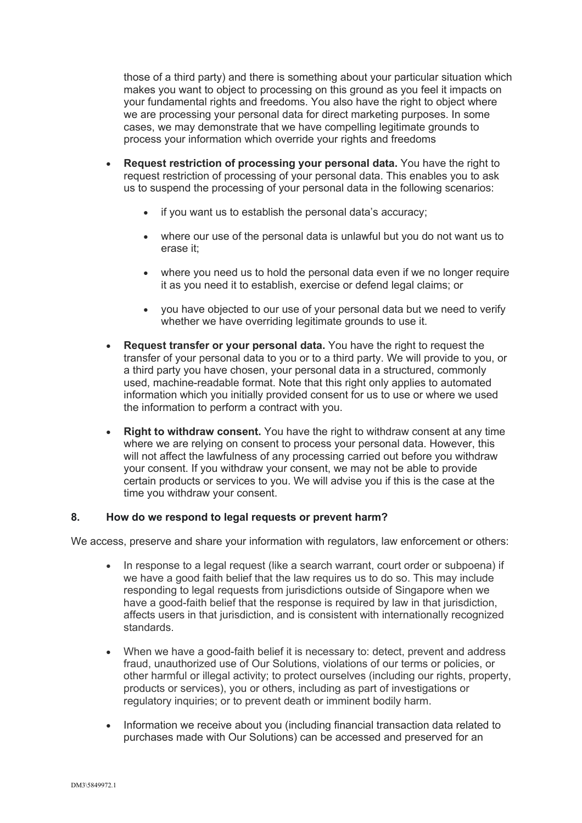those of a third party) and there is something about your particular situation which makes you want to object to processing on this ground as you feel it impacts on your fundamental rights and freedoms. You also have the right to object where we are processing your personal data for direct marketing purposes. In some cases, we may demonstrate that we have compelling legitimate grounds to process your information which override your rights and freedoms

- **Request restriction of processing your personal data.** You have the right to request restriction of processing of your personal data. This enables you to ask us to suspend the processing of your personal data in the following scenarios:
	- if you want us to establish the personal data's accuracy;
	- where our use of the personal data is unlawful but you do not want us to erase it;
	- where you need us to hold the personal data even if we no longer require it as you need it to establish, exercise or defend legal claims; or
	- you have objected to our use of your personal data but we need to verify whether we have overriding legitimate grounds to use it.
- **Request transfer or your personal data.** You have the right to request the transfer of your personal data to you or to a third party. We will provide to you, or a third party you have chosen, your personal data in a structured, commonly used, machine-readable format. Note that this right only applies to automated information which you initially provided consent for us to use or where we used the information to perform a contract with you.
- **Right to withdraw consent.** You have the right to withdraw consent at any time where we are relying on consent to process your personal data. However, this will not affect the lawfulness of any processing carried out before you withdraw your consent. If you withdraw your consent, we may not be able to provide certain products or services to you. We will advise you if this is the case at the time you withdraw your consent.

#### **8. How do we respond to legal requests or prevent harm?**

We access, preserve and share your information with regulators, law enforcement or others:

- In response to a legal request (like a search warrant, court order or subpoena) if we have a good faith belief that the law requires us to do so. This may include responding to legal requests from jurisdictions outside of Singapore when we have a good-faith belief that the response is required by law in that jurisdiction, affects users in that jurisdiction, and is consistent with internationally recognized standards.
- When we have a good-faith belief it is necessary to: detect, prevent and address fraud, unauthorized use of Our Solutions, violations of our terms or policies, or other harmful or illegal activity; to protect ourselves (including our rights, property, products or services), you or others, including as part of investigations or regulatory inquiries; or to prevent death or imminent bodily harm.
- Information we receive about you (including financial transaction data related to purchases made with Our Solutions) can be accessed and preserved for an